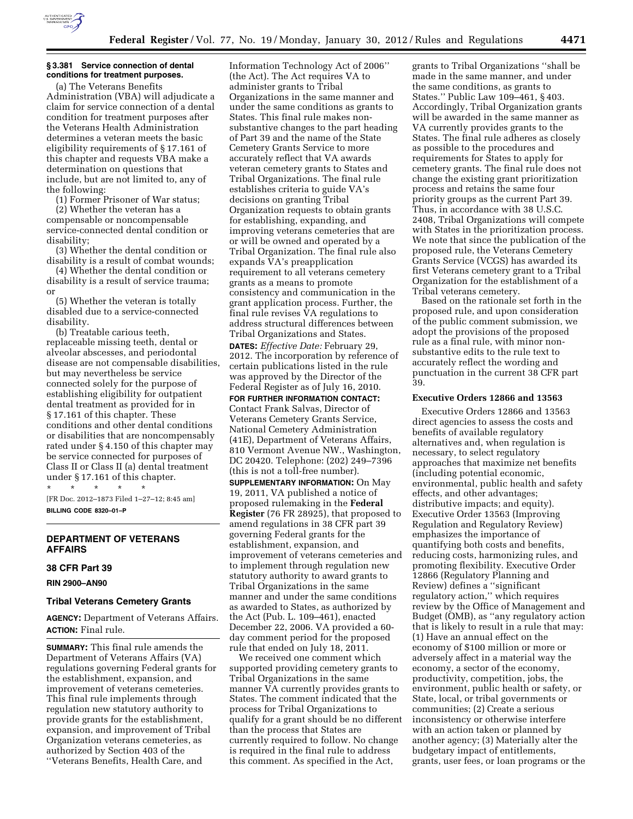

## **§ 3.381 Service connection of dental conditions for treatment purposes.**

(a) The Veterans Benefits Administration (VBA) will adjudicate a claim for service connection of a dental condition for treatment purposes after the Veterans Health Administration determines a veteran meets the basic eligibility requirements of § 17.161 of this chapter and requests VBA make a determination on questions that include, but are not limited to, any of the following:

(1) Former Prisoner of War status;

(2) Whether the veteran has a compensable or noncompensable service-connected dental condition or disability;

(3) Whether the dental condition or disability is a result of combat wounds;

(4) Whether the dental condition or disability is a result of service trauma; or

(5) Whether the veteran is totally disabled due to a service-connected disability.

(b) Treatable carious teeth, replaceable missing teeth, dental or alveolar abscesses, and periodontal disease are not compensable disabilities, but may nevertheless be service connected solely for the purpose of establishing eligibility for outpatient dental treatment as provided for in § 17.161 of this chapter. These conditions and other dental conditions or disabilities that are noncompensably rated under § 4.150 of this chapter may be service connected for purposes of Class II or Class II (a) dental treatment under § 17.161 of this chapter.

\* \* \* \* \* [FR Doc. 2012–1873 Filed 1–27–12; 8:45 am] **BILLING CODE 8320–01–P** 

## **DEPARTMENT OF VETERANS AFFAIRS**

### **38 CFR Part 39**

**RIN 2900–AN90** 

### **Tribal Veterans Cemetery Grants**

**AGENCY:** Department of Veterans Affairs. **ACTION:** Final rule.

**SUMMARY:** This final rule amends the Department of Veterans Affairs (VA) regulations governing Federal grants for the establishment, expansion, and improvement of veterans cemeteries. This final rule implements through regulation new statutory authority to provide grants for the establishment, expansion, and improvement of Tribal Organization veterans cemeteries, as authorized by Section 403 of the ''Veterans Benefits, Health Care, and

Information Technology Act of 2006'' (the Act). The Act requires VA to administer grants to Tribal Organizations in the same manner and under the same conditions as grants to States. This final rule makes nonsubstantive changes to the part heading of Part 39 and the name of the State Cemetery Grants Service to more accurately reflect that VA awards veteran cemetery grants to States and Tribal Organizations. The final rule establishes criteria to guide VA's decisions on granting Tribal Organization requests to obtain grants for establishing, expanding, and improving veterans cemeteries that are or will be owned and operated by a Tribal Organization. The final rule also expands VA's preapplication requirement to all veterans cemetery grants as a means to promote consistency and communication in the grant application process. Further, the final rule revises VA regulations to address structural differences between Tribal Organizations and States. **DATES:** *Effective Date:* February 29, 2012. The incorporation by reference of certain publications listed in the rule was approved by the Director of the Federal Register as of July 16, 2010. **FOR FURTHER INFORMATION CONTACT:**  Contact Frank Salvas, Director of Veterans Cemetery Grants Service, National Cemetery Administration (41E), Department of Veterans Affairs, 810 Vermont Avenue NW., Washington, DC 20420. Telephone: (202) 249–7396 (this is not a toll-free number). **SUPPLEMENTARY INFORMATION:** On May 19, 2011, VA published a notice of proposed rulemaking in the **Federal Register** (76 FR 28925), that proposed to amend regulations in 38 CFR part 39 governing Federal grants for the establishment, expansion, and improvement of veterans cemeteries and to implement through regulation new statutory authority to award grants to Tribal Organizations in the same manner and under the same conditions as awarded to States, as authorized by the Act (Pub. L. 109–461), enacted December 22, 2006. VA provided a 60-

We received one comment which supported providing cemetery grants to Tribal Organizations in the same manner VA currently provides grants to States. The comment indicated that the process for Tribal Organizations to qualify for a grant should be no different than the process that States are currently required to follow. No change is required in the final rule to address this comment. As specified in the Act,

day comment period for the proposed rule that ended on July 18, 2011.

grants to Tribal Organizations ''shall be made in the same manner, and under the same conditions, as grants to States.'' Public Law 109–461, § 403. Accordingly, Tribal Organization grants will be awarded in the same manner as VA currently provides grants to the States. The final rule adheres as closely as possible to the procedures and requirements for States to apply for cemetery grants. The final rule does not change the existing grant prioritization process and retains the same four priority groups as the current Part 39. Thus, in accordance with 38 U.S.C. 2408, Tribal Organizations will compete with States in the prioritization process. We note that since the publication of the proposed rule, the Veterans Cemetery Grants Service (VCGS) has awarded its first Veterans cemetery grant to a Tribal Organization for the establishment of a Tribal veterans cemetery.

Based on the rationale set forth in the proposed rule, and upon consideration of the public comment submission, we adopt the provisions of the proposed rule as a final rule, with minor nonsubstantive edits to the rule text to accurately reflect the wording and punctuation in the current 38 CFR part 39.

#### **Executive Orders 12866 and 13563**

Executive Orders 12866 and 13563 direct agencies to assess the costs and benefits of available regulatory alternatives and, when regulation is necessary, to select regulatory approaches that maximize net benefits (including potential economic, environmental, public health and safety effects, and other advantages; distributive impacts; and equity). Executive Order 13563 (Improving Regulation and Regulatory Review) emphasizes the importance of quantifying both costs and benefits, reducing costs, harmonizing rules, and promoting flexibility. Executive Order 12866 (Regulatory Planning and Review) defines a ''significant regulatory action,'' which requires review by the Office of Management and Budget (OMB), as ''any regulatory action that is likely to result in a rule that may: (1) Have an annual effect on the economy of \$100 million or more or adversely affect in a material way the economy, a sector of the economy, productivity, competition, jobs, the environment, public health or safety, or State, local, or tribal governments or communities; (2) Create a serious inconsistency or otherwise interfere with an action taken or planned by another agency; (3) Materially alter the budgetary impact of entitlements, grants, user fees, or loan programs or the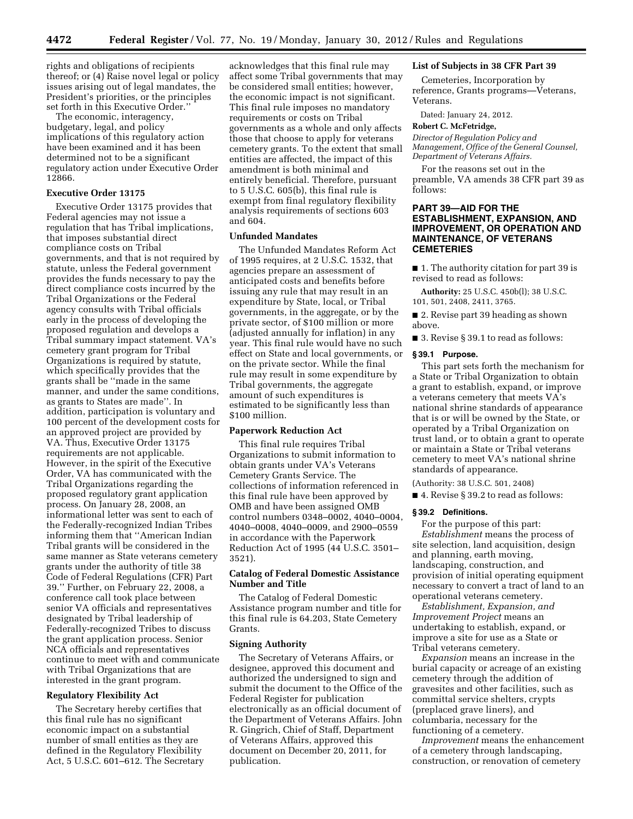rights and obligations of recipients thereof; or (4) Raise novel legal or policy issues arising out of legal mandates, the President's priorities, or the principles set forth in this Executive Order.''

The economic, interagency, budgetary, legal, and policy implications of this regulatory action have been examined and it has been determined not to be a significant regulatory action under Executive Order 12866.

### **Executive Order 13175**

Executive Order 13175 provides that Federal agencies may not issue a regulation that has Tribal implications, that imposes substantial direct compliance costs on Tribal governments, and that is not required by statute, unless the Federal government provides the funds necessary to pay the direct compliance costs incurred by the Tribal Organizations or the Federal agency consults with Tribal officials early in the process of developing the proposed regulation and develops a Tribal summary impact statement. VA's cemetery grant program for Tribal Organizations is required by statute, which specifically provides that the grants shall be ''made in the same manner, and under the same conditions, as grants to States are made''. In addition, participation is voluntary and 100 percent of the development costs for an approved project are provided by VA. Thus, Executive Order 13175 requirements are not applicable. However, in the spirit of the Executive Order, VA has communicated with the Tribal Organizations regarding the proposed regulatory grant application process. On January 28, 2008, an informational letter was sent to each of the Federally-recognized Indian Tribes informing them that ''American Indian Tribal grants will be considered in the same manner as State veterans cemetery grants under the authority of title 38 Code of Federal Regulations (CFR) Part 39.'' Further, on February 22, 2008, a conference call took place between senior VA officials and representatives designated by Tribal leadership of Federally-recognized Tribes to discuss the grant application process. Senior NCA officials and representatives continue to meet with and communicate with Tribal Organizations that are interested in the grant program.

### **Regulatory Flexibility Act**

The Secretary hereby certifies that this final rule has no significant economic impact on a substantial number of small entities as they are defined in the Regulatory Flexibility Act, 5 U.S.C. 601–612. The Secretary acknowledges that this final rule may affect some Tribal governments that may be considered small entities; however, the economic impact is not significant. This final rule imposes no mandatory requirements or costs on Tribal governments as a whole and only affects those that choose to apply for veterans cemetery grants. To the extent that small entities are affected, the impact of this amendment is both minimal and entirely beneficial. Therefore, pursuant to 5 U.S.C. 605(b), this final rule is exempt from final regulatory flexibility analysis requirements of sections 603 and 604.

## **Unfunded Mandates**

The Unfunded Mandates Reform Act of 1995 requires, at 2 U.S.C. 1532, that agencies prepare an assessment of anticipated costs and benefits before issuing any rule that may result in an expenditure by State, local, or Tribal governments, in the aggregate, or by the private sector, of \$100 million or more (adjusted annually for inflation) in any year. This final rule would have no such effect on State and local governments, or on the private sector. While the final rule may result in some expenditure by Tribal governments, the aggregate amount of such expenditures is estimated to be significantly less than \$100 million.

#### **Paperwork Reduction Act**

This final rule requires Tribal Organizations to submit information to obtain grants under VA's Veterans Cemetery Grants Service. The collections of information referenced in this final rule have been approved by OMB and have been assigned OMB control numbers 0348–0002, 4040–0004, 4040–0008, 4040–0009, and 2900–0559 in accordance with the Paperwork Reduction Act of 1995 (44 U.S.C. 3501– 3521).

# **Catalog of Federal Domestic Assistance Number and Title**

The Catalog of Federal Domestic Assistance program number and title for this final rule is 64.203, State Cemetery Grants.

### **Signing Authority**

The Secretary of Veterans Affairs, or designee, approved this document and authorized the undersigned to sign and submit the document to the Office of the Federal Register for publication electronically as an official document of the Department of Veterans Affairs. John R. Gingrich, Chief of Staff, Department of Veterans Affairs, approved this document on December 20, 2011, for publication.

### **List of Subjects in 38 CFR Part 39**

Cemeteries, Incorporation by reference, Grants programs—Veterans, Veterans.

Dated: January 24, 2012.

#### **Robert C. McFetridge,**

*Director of Regulation Policy and Management, Office of the General Counsel, Department of Veterans Affairs.* 

For the reasons set out in the preamble, VA amends 38 CFR part 39 as follows:

## **PART 39—AID FOR THE ESTABLISHMENT, EXPANSION, AND IMPROVEMENT, OR OPERATION AND MAINTENANCE, OF VETERANS CEMETERIES**

■ 1. The authority citation for part 39 is revised to read as follows:

**Authority:** 25 U.S.C. 450b(l); 38 U.S.C. 101, 501, 2408, 2411, 3765.

■ 2. Revise part 39 heading as shown above.

■ 3. Revise § 39.1 to read as follows:

#### **§ 39.1 Purpose.**

This part sets forth the mechanism for a State or Tribal Organization to obtain a grant to establish, expand, or improve a veterans cemetery that meets VA's national shrine standards of appearance that is or will be owned by the State, or operated by a Tribal Organization on trust land, or to obtain a grant to operate or maintain a State or Tribal veterans cemetery to meet VA's national shrine standards of appearance.

(Authority: 38 U.S.C. 501, 2408)

■ 4. Revise § 39.2 to read as follows:

#### **§ 39.2 Definitions.**

For the purpose of this part: *Establishment* means the process of site selection, land acquisition, design and planning, earth moving, landscaping, construction, and provision of initial operating equipment necessary to convert a tract of land to an operational veterans cemetery.

*Establishment, Expansion, and Improvement Project* means an undertaking to establish, expand, or improve a site for use as a State or Tribal veterans cemetery.

*Expansion* means an increase in the burial capacity or acreage of an existing cemetery through the addition of gravesites and other facilities, such as committal service shelters, crypts (preplaced grave liners), and columbaria, necessary for the functioning of a cemetery.

*Improvement* means the enhancement of a cemetery through landscaping, construction, or renovation of cemetery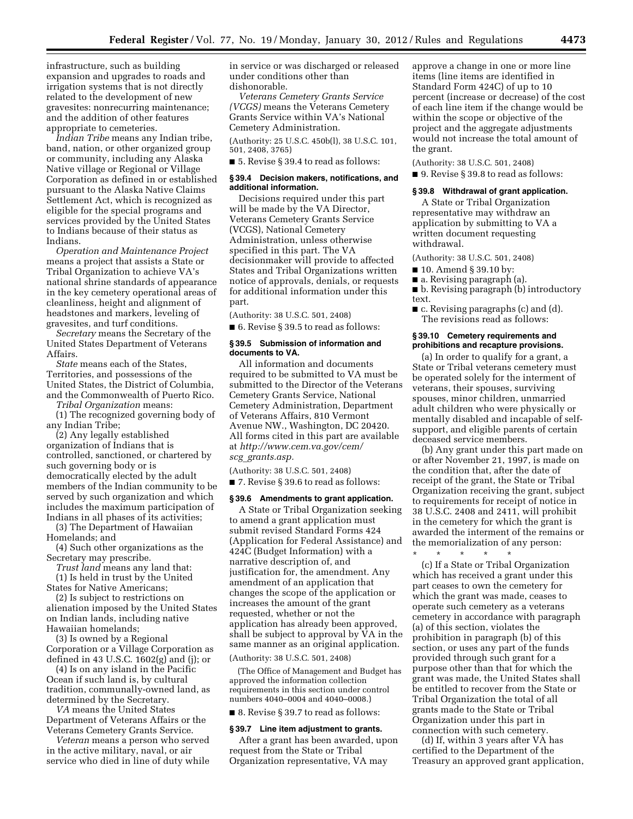infrastructure, such as building expansion and upgrades to roads and irrigation systems that is not directly related to the development of new gravesites: nonrecurring maintenance; and the addition of other features appropriate to cemeteries.

*Indian Tribe* means any Indian tribe, band, nation, or other organized group or community, including any Alaska Native village or Regional or Village Corporation as defined in or established pursuant to the Alaska Native Claims Settlement Act, which is recognized as eligible for the special programs and services provided by the United States to Indians because of their status as Indians.

*Operation and Maintenance Project*  means a project that assists a State or Tribal Organization to achieve VA's national shrine standards of appearance in the key cemetery operational areas of cleanliness, height and alignment of headstones and markers, leveling of gravesites, and turf conditions.

*Secretary* means the Secretary of the United States Department of Veterans Affairs.

*State* means each of the States, Territories, and possessions of the United States, the District of Columbia, and the Commonwealth of Puerto Rico.

*Tribal Organization* means:

(1) The recognized governing body of any Indian Tribe;

(2) Any legally established organization of Indians that is controlled, sanctioned, or chartered by such governing body or is democratically elected by the adult members of the Indian community to be served by such organization and which includes the maximum participation of Indians in all phases of its activities;

(3) The Department of Hawaiian Homelands; and

(4) Such other organizations as the Secretary may prescribe.

*Trust land* means any land that: (1) Is held in trust by the United States for Native Americans;

(2) Is subject to restrictions on alienation imposed by the United States on Indian lands, including native Hawaiian homelands;

(3) Is owned by a Regional Corporation or a Village Corporation as defined in 43 U.S.C. 1602(g) and (j); or

(4) Is on any island in the Pacific Ocean if such land is, by cultural tradition, communally-owned land, as determined by the Secretary.

*VA* means the United States Department of Veterans Affairs or the Veterans Cemetery Grants Service.

*Veteran* means a person who served in the active military, naval, or air service who died in line of duty while in service or was discharged or released under conditions other than dishonorable.

*Veterans Cemetery Grants Service (VCGS)* means the Veterans Cemetery Grants Service within VA's National Cemetery Administration.

(Authority: 25 U.S.C. 450b(l), 38 U.S.C. 101, 501, 2408, 3765)

■ 5. Revise § 39.4 to read as follows:

### **§ 39.4 Decision makers, notifications, and additional information.**

Decisions required under this part will be made by the VA Director, Veterans Cemetery Grants Service (VCGS), National Cemetery Administration, unless otherwise specified in this part. The VA decisionmaker will provide to affected States and Tribal Organizations written notice of approvals, denials, or requests for additional information under this part.

(Authority: 38 U.S.C. 501, 2408)

■ 6. Revise § 39.5 to read as follows:

#### **§ 39.5 Submission of information and documents to VA.**

All information and documents required to be submitted to VA must be submitted to the Director of the Veterans Cemetery Grants Service, National Cemetery Administration, Department of Veterans Affairs, 810 Vermont Avenue NW., Washington, DC 20420. All forms cited in this part are available at *[http://www.cem.va.gov/cem/](http://www.cem.va.gov/cem/scg_grants.asp) scg*\_*[grants.asp.](http://www.cem.va.gov/cem/scg_grants.asp)* 

(Authority: 38 U.S.C. 501, 2408)

■ 7. Revise § 39.6 to read as follows:

## **§ 39.6 Amendments to grant application.**

A State or Tribal Organization seeking to amend a grant application must submit revised Standard Forms 424 (Application for Federal Assistance) and 424C (Budget Information) with a narrative description of, and justification for, the amendment. Any amendment of an application that changes the scope of the application or increases the amount of the grant requested, whether or not the application has already been approved, shall be subject to approval by VA in the same manner as an original application.

(Authority: 38 U.S.C. 501, 2408)

(The Office of Management and Budget has approved the information collection requirements in this section under control numbers 4040–0004 and 4040–0008.)

■ 8. Revise § 39.7 to read as follows:

#### **§ 39.7 Line item adjustment to grants.**

After a grant has been awarded, upon request from the State or Tribal Organization representative, VA may

approve a change in one or more line items (line items are identified in Standard Form 424C) of up to 10 percent (increase or decrease) of the cost of each line item if the change would be within the scope or objective of the project and the aggregate adjustments would not increase the total amount of the grant.

(Authority: 38 U.S.C. 501, 2408)

■ 9. Revise § 39.8 to read as follows:

## **§ 39.8 Withdrawal of grant application.**

A State or Tribal Organization representative may withdraw an application by submitting to VA a written document requesting withdrawal.

(Authority: 38 U.S.C. 501, 2408)

- 10. Amend § 39.10 by:
- a. Revising paragraph (a).

■ b. Revising paragraph (b) introductory text.

■ c. Revising paragraphs (c) and (d). The revisions read as follows:

### **§ 39.10 Cemetery requirements and prohibitions and recapture provisions.**

(a) In order to qualify for a grant, a State or Tribal veterans cemetery must be operated solely for the interment of veterans, their spouses, surviving spouses, minor children, unmarried adult children who were physically or mentally disabled and incapable of selfsupport, and eligible parents of certain deceased service members.

(b) Any grant under this part made on or after November 21, 1997, is made on the condition that, after the date of receipt of the grant, the State or Tribal Organization receiving the grant, subject to requirements for receipt of notice in 38 U.S.C. 2408 and 2411, will prohibit in the cemetery for which the grant is awarded the interment of the remains or the memorialization of any person:

\* \* \* \* \* (c) If a State or Tribal Organization which has received a grant under this part ceases to own the cemetery for which the grant was made, ceases to operate such cemetery as a veterans cemetery in accordance with paragraph (a) of this section, violates the prohibition in paragraph (b) of this section, or uses any part of the funds provided through such grant for a purpose other than that for which the grant was made, the United States shall be entitled to recover from the State or Tribal Organization the total of all grants made to the State or Tribal Organization under this part in connection with such cemetery.

(d) If, within 3 years after VA has certified to the Department of the Treasury an approved grant application,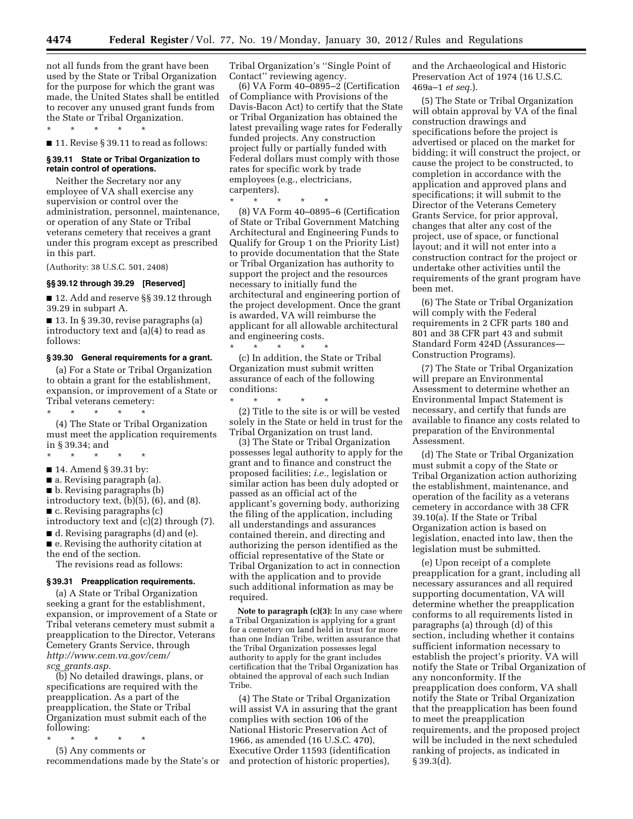**4474 Federal Register** / Vol. 77, No. 19 / Monday, January 30, 2012 / Rules and Regulations

not all funds from the grant have been used by the State or Tribal Organization for the purpose for which the grant was made, the United States shall be entitled to recover any unused grant funds from the State or Tribal Organization. \* \* \* \* \*

■ 11. Revise § 39.11 to read as follows:

## **§ 39.11 State or Tribal Organization to retain control of operations.**

Neither the Secretary nor any employee of VA shall exercise any supervision or control over the administration, personnel, maintenance, or operation of any State or Tribal veterans cemetery that receives a grant under this program except as prescribed in this part.

(Authority: 38 U.S.C. 501, 2408)

### **§§ 39.12 through 39.29 [Reserved]**

■ 12. Add and reserve §§ 39.12 through 39.29 in subpart A.

■ 13. In § 39.30, revise paragraphs (a) introductory text and (a)(4) to read as follows:

### **§ 39.30 General requirements for a grant.**

(a) For a State or Tribal Organization to obtain a grant for the establishment, expansion, or improvement of a State or Tribal veterans cemetery:

\* \* \* \* \*

(4) The State or Tribal Organization must meet the application requirements in § 39.34; and

- \* \* \* \* \*
- 14. Amend § 39.31 by:
- a. Revising paragraph (a).
- b. Revising paragraphs (b)
- introductory text, (b)(5), (6), and (8).

■ c. Revising paragraphs (c)

- introductory text and (c)(2) through (7).
- d. Revising paragraphs (d) and (e).
- e. Revising the authority citation at

the end of the section.

The revisions read as follows:

# **§ 39.31 Preapplication requirements.**

(a) A State or Tribal Organization seeking a grant for the establishment, expansion, or improvement of a State or Tribal veterans cemetery must submit a preapplication to the Director, Veterans Cemetery Grants Service, through *[http://www.cem.va.gov/cem/](http://www.cem.va.gov/cem/scg_grants.asp) scg*\_*[grants.asp.](http://www.cem.va.gov/cem/scg_grants.asp)* 

(b) No detailed drawings, plans, or specifications are required with the preapplication. As a part of the preapplication, the State or Tribal Organization must submit each of the following:

\* \* \* \* \* (5) Any comments or

recommendations made by the State's or

Tribal Organization's ''Single Point of Contact'' reviewing agency.

(6) VA Form 40–0895–2 (Certification of Compliance with Provisions of the Davis-Bacon Act) to certify that the State or Tribal Organization has obtained the latest prevailing wage rates for Federally funded projects. Any construction project fully or partially funded with Federal dollars must comply with those rates for specific work by trade employees (e.g., electricians, carpenters).

\* \* \* \* \*

(8) VA Form 40–0895–6 (Certification of State or Tribal Government Matching Architectural and Engineering Funds to Qualify for Group 1 on the Priority List) to provide documentation that the State or Tribal Organization has authority to support the project and the resources necessary to initially fund the architectural and engineering portion of the project development. Once the grant is awarded, VA will reimburse the applicant for all allowable architectural and engineering costs.

\* \* \* \* \* (c) In addition, the State or Tribal Organization must submit written assurance of each of the following conditions:

\* \* \* \* \* (2) Title to the site is or will be vested solely in the State or held in trust for the Tribal Organization on trust land.

(3) The State or Tribal Organization possesses legal authority to apply for the grant and to finance and construct the proposed facilities; *i.e.,* legislation or similar action has been duly adopted or passed as an official act of the applicant's governing body, authorizing the filing of the application, including all understandings and assurances contained therein, and directing and authorizing the person identified as the official representative of the State or Tribal Organization to act in connection with the application and to provide such additional information as may be required.

**Note to paragraph (c)(3):** In any case where a Tribal Organization is applying for a grant for a cemetery on land held in trust for more than one Indian Tribe, written assurance that the Tribal Organization possesses legal authority to apply for the grant includes certification that the Tribal Organization has obtained the approval of each such Indian Tribe.

(4) The State or Tribal Organization will assist VA in assuring that the grant complies with section 106 of the National Historic Preservation Act of 1966, as amended (16 U.S.C. 470), Executive Order 11593 (identification and protection of historic properties),

and the Archaeological and Historic Preservation Act of 1974 (16 U.S.C. 469a–1 *et seq.*).

(5) The State or Tribal Organization will obtain approval by VA of the final construction drawings and specifications before the project is advertised or placed on the market for bidding; it will construct the project, or cause the project to be constructed, to completion in accordance with the application and approved plans and specifications; it will submit to the Director of the Veterans Cemetery Grants Service, for prior approval, changes that alter any cost of the project, use of space, or functional layout; and it will not enter into a construction contract for the project or undertake other activities until the requirements of the grant program have been met.

(6) The State or Tribal Organization will comply with the Federal requirements in 2 CFR parts 180 and 801 and 38 CFR part 43 and submit Standard Form 424D (Assurances— Construction Programs).

(7) The State or Tribal Organization will prepare an Environmental Assessment to determine whether an Environmental Impact Statement is necessary, and certify that funds are available to finance any costs related to preparation of the Environmental Assessment.

(d) The State or Tribal Organization must submit a copy of the State or Tribal Organization action authorizing the establishment, maintenance, and operation of the facility as a veterans cemetery in accordance with 38 CFR 39.10(a). If the State or Tribal Organization action is based on legislation, enacted into law, then the legislation must be submitted.

(e) Upon receipt of a complete preapplication for a grant, including all necessary assurances and all required supporting documentation, VA will determine whether the preapplication conforms to all requirements listed in paragraphs (a) through (d) of this section, including whether it contains sufficient information necessary to establish the project's priority. VA will notify the State or Tribal Organization of any nonconformity. If the preapplication does conform, VA shall notify the State or Tribal Organization that the preapplication has been found to meet the preapplication requirements, and the proposed project will be included in the next scheduled ranking of projects, as indicated in § 39.3(d).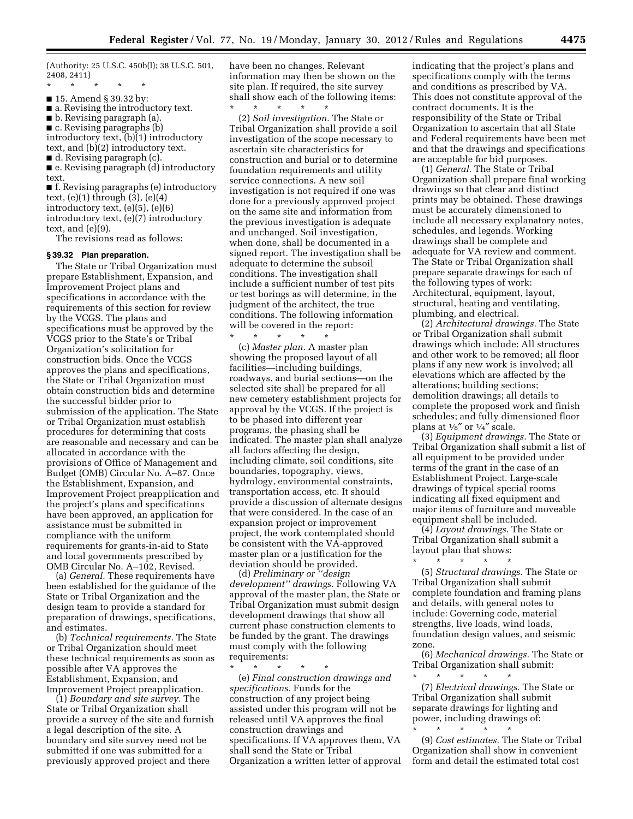(Authority: 25 U.S.C. 450b(l); 38 U.S.C. 501, 2408, 2411)

- \* \* \* \* \*
- 15. Amend § 39.32 by:
- a. Revising the introductory text.
- b. Revising paragraph (a).
- c. Revising paragraphs (b)

introductory text, (b)(1) introductory text, and (b)(2) introductory text. ■ d. Revising paragraph (c).

■ e. Revising paragraph (d) introductory text.

■ f. Revising paragraphs (e) introductory text,  $(e)(1)$  through  $(3)$ ,  $(e)(4)$ introductory text, (e)(5), (e)(6) introductory text, (e)(7) introductory text, and (e)(9).

The revisions read as follows:

#### **§ 39.32 Plan preparation.**

The State or Tribal Organization must prepare Establishment, Expansion, and Improvement Project plans and specifications in accordance with the requirements of this section for review by the VCGS. The plans and specifications must be approved by the VCGS prior to the State's or Tribal Organization's solicitation for construction bids. Once the VCGS approves the plans and specifications, the State or Tribal Organization must obtain construction bids and determine the successful bidder prior to submission of the application. The State or Tribal Organization must establish procedures for determining that costs are reasonable and necessary and can be allocated in accordance with the provisions of Office of Management and Budget (OMB) Circular No. A–87. Once the Establishment, Expansion, and Improvement Project preapplication and the project's plans and specifications have been approved, an application for assistance must be submitted in compliance with the uniform requirements for grants-in-aid to State and local governments prescribed by OMB Circular No. A–102, Revised.

(a) *General.* These requirements have been established for the guidance of the State or Tribal Organization and the design team to provide a standard for preparation of drawings, specifications, and estimates.

(b) *Technical requirements.* The State or Tribal Organization should meet these technical requirements as soon as possible after VA approves the Establishment, Expansion, and Improvement Project preapplication.

(1) *Boundary and site survey.* The State or Tribal Organization shall provide a survey of the site and furnish a legal description of the site. A boundary and site survey need not be submitted if one was submitted for a previously approved project and there

have been no changes. Relevant information may then be shown on the site plan. If required, the site survey shall show each of the following items: \* \* \* \* \*

(2) *Soil investigation.* The State or Tribal Organization shall provide a soil investigation of the scope necessary to ascertain site characteristics for construction and burial or to determine foundation requirements and utility service connections. A new soil investigation is not required if one was done for a previously approved project on the same site and information from the previous investigation is adequate and unchanged. Soil investigation, when done, shall be documented in a signed report. The investigation shall be adequate to determine the subsoil conditions. The investigation shall include a sufficient number of test pits or test borings as will determine, in the judgment of the architect, the true conditions. The following information will be covered in the report:

\* \* \* \* \* (c) *Master plan.* A master plan showing the proposed layout of all facilities—including buildings, roadways, and burial sections—on the selected site shall be prepared for all new cemetery establishment projects for approval by the VCGS. If the project is to be phased into different year programs, the phasing shall be indicated. The master plan shall analyze all factors affecting the design, including climate, soil conditions, site boundaries, topography, views, hydrology, environmental constraints, transportation access, etc. It should provide a discussion of alternate designs that were considered. In the case of an expansion project or improvement project, the work contemplated should be consistent with the VA-approved master plan or a justification for the deviation should be provided.

(d) *Preliminary or ''design development'' drawings.* Following VA approval of the master plan, the State or Tribal Organization must submit design development drawings that show all current phase construction elements to be funded by the grant. The drawings must comply with the following requirements:

\* \* \* \* \* (e) *Final construction drawings and specifications.* Funds for the construction of any project being assisted under this program will not be released until VA approves the final construction drawings and specifications. If VA approves them, VA shall send the State or Tribal Organization a written letter of approval indicating that the project's plans and specifications comply with the terms and conditions as prescribed by VA. This does not constitute approval of the contract documents. It is the responsibility of the State or Tribal Organization to ascertain that all State and Federal requirements have been met and that the drawings and specifications are acceptable for bid purposes.

(1) *General.* The State or Tribal Organization shall prepare final working drawings so that clear and distinct prints may be obtained. These drawings must be accurately dimensioned to include all necessary explanatory notes, schedules, and legends. Working drawings shall be complete and adequate for VA review and comment. The State or Tribal Organization shall prepare separate drawings for each of the following types of work: Architectural, equipment, layout, structural, heating and ventilating, plumbing, and electrical.

(2) *Architectural drawings.* The State or Tribal Organization shall submit drawings which include: All structures and other work to be removed; all floor plans if any new work is involved; all elevations which are affected by the alterations; building sections; demolition drawings; all details to complete the proposed work and finish schedules; and fully dimensioned floor plans at  $\frac{1}{8}$ " or  $\frac{1}{4}$ " scale.

(3) *Equipment drawings.* The State or Tribal Organization shall submit a list of all equipment to be provided under terms of the grant in the case of an Establishment Project. Large-scale drawings of typical special rooms indicating all fixed equipment and major items of furniture and moveable equipment shall be included.

(4) *Layout drawings.* The State or Tribal Organization shall submit a layout plan that shows:

\* \* \* \* \* (5) *Structural drawings.* The State or Tribal Organization shall submit complete foundation and framing plans and details, with general notes to include: Governing code, material strengths, live loads, wind loads, foundation design values, and seismic zone.

(6) *Mechanical drawings.* The State or Tribal Organization shall submit:

\* \* \* \* \* (7) *Electrical drawings.* The State or Tribal Organization shall submit separate drawings for lighting and power, including drawings of:

\* \* \* \* \* (9) *Cost estimates.* The State or Tribal Organization shall show in convenient form and detail the estimated total cost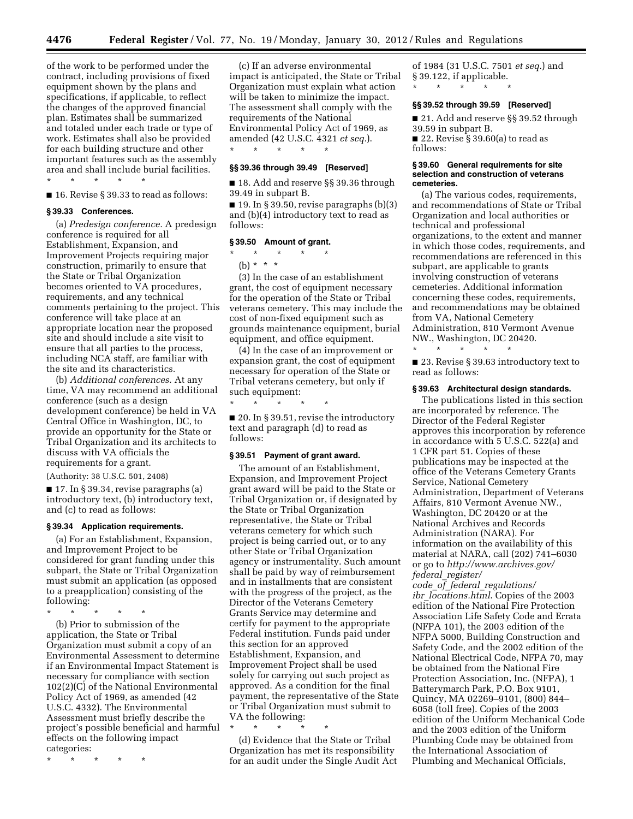**4476 Federal Register** / Vol. 77, No. 19 / Monday, January 30, 2012 / Rules and Regulations

of the work to be performed under the contract, including provisions of fixed equipment shown by the plans and specifications, if applicable, to reflect the changes of the approved financial plan. Estimates shall be summarized and totaled under each trade or type of work. Estimates shall also be provided for each building structure and other important features such as the assembly area and shall include burial facilities. \* \* \* \* \*

■ 16. Revise § 39.33 to read as follows:

### **§ 39.33 Conferences.**

(a) *Predesign conference.* A predesign conference is required for all Establishment, Expansion, and Improvement Projects requiring major construction, primarily to ensure that the State or Tribal Organization becomes oriented to VA procedures, requirements, and any technical comments pertaining to the project. This conference will take place at an appropriate location near the proposed site and should include a site visit to ensure that all parties to the process, including NCA staff, are familiar with the site and its characteristics.

(b) *Additional conferences.* At any time, VA may recommend an additional conference (such as a design development conference) be held in VA Central Office in Washington, DC, to provide an opportunity for the State or Tribal Organization and its architects to discuss with VA officials the requirements for a grant.

(Authority: 38 U.S.C. 501, 2408)

■ 17. In § 39.34, revise paragraphs (a) introductory text, (b) introductory text, and (c) to read as follows:

### **§ 39.34 Application requirements.**

(a) For an Establishment, Expansion, and Improvement Project to be considered for grant funding under this subpart, the State or Tribal Organization must submit an application (as opposed to a preapplication) consisting of the following:

\* \* \* \* \*

(b) Prior to submission of the application, the State or Tribal Organization must submit a copy of an Environmental Assessment to determine if an Environmental Impact Statement is necessary for compliance with section 102(2)(C) of the National Environmental Policy Act of 1969, as amended (42 U.S.C. 4332). The Environmental Assessment must briefly describe the project's possible beneficial and harmful effects on the following impact categories:

\* \* \* \* \*

(c) If an adverse environmental impact is anticipated, the State or Tribal Organization must explain what action will be taken to minimize the impact. The assessment shall comply with the requirements of the National Environmental Policy Act of 1969, as amended (42 U.S.C. 4321 *et seq.*). \* \* \* \* \*

## **§§ 39.36 through 39.49 [Reserved]**

■ 18. Add and reserve §§ 39.36 through 39.49 in subpart B.

 $\blacksquare$  19. In § 39.50, revise paragraphs (b)(3) and (b)(4) introductory text to read as follows:

#### **§ 39.50 Amount of grant.**

# $\star$   $\star$

(b) \* \* \*

(3) In the case of an establishment grant, the cost of equipment necessary for the operation of the State or Tribal veterans cemetery. This may include the cost of non-fixed equipment such as grounds maintenance equipment, burial equipment, and office equipment.

(4) In the case of an improvement or expansion grant, the cost of equipment necessary for operation of the State or Tribal veterans cemetery, but only if such equipment:

■ 20. In § 39.51, revise the introductory text and paragraph (d) to read as follows:

### **§ 39.51 Payment of grant award.**

\* \* \* \* \*

The amount of an Establishment, Expansion, and Improvement Project grant award will be paid to the State or Tribal Organization or, if designated by the State or Tribal Organization representative, the State or Tribal veterans cemetery for which such project is being carried out, or to any other State or Tribal Organization agency or instrumentality. Such amount shall be paid by way of reimbursement and in installments that are consistent with the progress of the project, as the Director of the Veterans Cemetery Grants Service may determine and certify for payment to the appropriate Federal institution. Funds paid under this section for an approved Establishment, Expansion, and Improvement Project shall be used solely for carrying out such project as approved. As a condition for the final payment, the representative of the State or Tribal Organization must submit to VA the following:

\* \* \* \* \*

(d) Evidence that the State or Tribal Organization has met its responsibility for an audit under the Single Audit Act

of 1984 (31 U.S.C. 7501 *et seq.*) and § 39.122, if applicable.

\* \* \* \* \*

### **§§ 39.52 through 39.59 [Reserved]**

■ 21. Add and reserve §§ 39.52 through 39.59 in subpart B. ■ 22. Revise § 39.60(a) to read as follows:

#### **§ 39.60 General requirements for site selection and construction of veterans cemeteries.**

(a) The various codes, requirements, and recommendations of State or Tribal Organization and local authorities or technical and professional organizations, to the extent and manner in which those codes, requirements, and recommendations are referenced in this subpart, are applicable to grants involving construction of veterans cemeteries. Additional information concerning these codes, requirements, and recommendations may be obtained from VA, National Cemetery Administration, 810 Vermont Avenue NW., Washington, DC 20420.

■ 23. Revise § 39.63 introductory text to read as follows:

#### **§ 39.63 Architectural design standards.**

\* \* \* \* \*

The publications listed in this section are incorporated by reference. The Director of the Federal Register approves this incorporation by reference in accordance with 5 U.S.C. 522(a) and 1 CFR part 51. Copies of these publications may be inspected at the office of the Veterans Cemetery Grants Service, National Cemetery Administration, Department of Veterans Affairs, 810 Vermont Avenue NW., Washington, DC 20420 or at the National Archives and Records Administration (NARA). For information on the availability of this material at NARA, call (202) 741–6030 or go to *[http://www.archives.gov/](http://www.archives.gov/federal_register/code_of_federal_regulations/ibr_locations.html)  federal*\_*[register/](http://www.archives.gov/federal_register/code_of_federal_regulations/ibr_locations.html)* 

*code*\_*of*\_*federal*\_*[regulations/](http://www.archives.gov/federal_register/code_of_federal_regulations/ibr_locations.html)  ibr*\_*[locations.html](http://www.archives.gov/federal_register/code_of_federal_regulations/ibr_locations.html)*. Copies of the 2003 edition of the National Fire Protection Association Life Safety Code and Errata (NFPA 101), the 2003 edition of the NFPA 5000, Building Construction and Safety Code, and the 2002 edition of the National Electrical Code, NFPA 70, may be obtained from the National Fire Protection Association, Inc. (NFPA), 1 Batterymarch Park, P.O. Box 9101, Quincy, MA 02269–9101, (800) 844– 6058 (toll free). Copies of the 2003 edition of the Uniform Mechanical Code and the 2003 edition of the Uniform Plumbing Code may be obtained from the International Association of Plumbing and Mechanical Officials,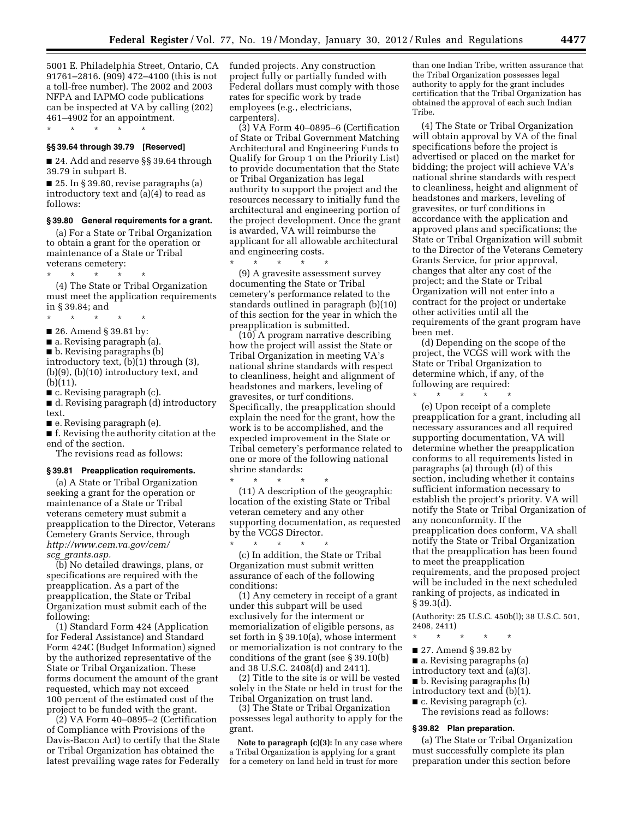5001 E. Philadelphia Street, Ontario, CA funded projects. Any construction 91761–2816. (909) 472–4100 (this is not a toll-free number). The 2002 and 2003 NFPA and IAPMO code publications can be inspected at VA by calling (202) 461–4902 for an appointment.

\* \* \* \* \*

#### **§§ 39.64 through 39.79 [Reserved]**

■ 24. Add and reserve §§ 39.64 through 39.79 in subpart B.

■ 25. In § 39.80, revise paragraphs (a) introductory text and (a)(4) to read as follows:

#### **§ 39.80 General requirements for a grant.**

(a) For a State or Tribal Organization to obtain a grant for the operation or maintenance of a State or Tribal veterans cemetery:

\* \* \* \* \*

(4) The State or Tribal Organization must meet the application requirements in § 39.84; and

- \* \* \* \* \*
- 26. Amend § 39.81 by:
- a. Revising paragraph (a).
- b. Revising paragraphs (b)

introductory text, (b)(1) through (3), (b)(9), (b)(10) introductory text, and (b)(11).

■ c. Revising paragraph (c).

■ d. Revising paragraph (d) introductory text.

■ e. Revising paragraph (e).

■ f. Revising the authority citation at the end of the section.

The revisions read as follows:

#### **§ 39.81 Preapplication requirements.**

(a) A State or Tribal Organization seeking a grant for the operation or maintenance of a State or Tribal veterans cemetery must submit a preapplication to the Director, Veterans Cemetery Grants Service, through *[http://www.cem.va.gov/cem/](http://www.cem.va.gov/cem/scg_grants.asp) scg*\_*[grants.asp.](http://www.cem.va.gov/cem/scg_grants.asp)* 

(b) No detailed drawings, plans, or specifications are required with the preapplication. As a part of the preapplication, the State or Tribal Organization must submit each of the following:

(1) Standard Form 424 (Application for Federal Assistance) and Standard Form 424C (Budget Information) signed by the authorized representative of the State or Tribal Organization. These forms document the amount of the grant requested, which may not exceed 100 percent of the estimated cost of the project to be funded with the grant.

(2) VA Form 40–0895–2 (Certification of Compliance with Provisions of the Davis-Bacon Act) to certify that the State or Tribal Organization has obtained the latest prevailing wage rates for Federally project fully or partially funded with Federal dollars must comply with those rates for specific work by trade employees (e.g., electricians, carpenters).

(3) VA Form 40–0895–6 (Certification of State or Tribal Government Matching Architectural and Engineering Funds to Qualify for Group 1 on the Priority List) to provide documentation that the State or Tribal Organization has legal authority to support the project and the resources necessary to initially fund the architectural and engineering portion of the project development. Once the grant is awarded, VA will reimburse the applicant for all allowable architectural and engineering costs.

\* \* \* \* \*

(9) A gravesite assessment survey documenting the State or Tribal cemetery's performance related to the standards outlined in paragraph (b)(10) of this section for the year in which the preapplication is submitted.

(10) A program narrative describing how the project will assist the State or Tribal Organization in meeting VA's national shrine standards with respect to cleanliness, height and alignment of headstones and markers, leveling of gravesites, or turf conditions. Specifically, the preapplication should explain the need for the grant, how the work is to be accomplished, and the expected improvement in the State or Tribal cemetery's performance related to one or more of the following national shrine standards:

\* \* \* \* \* (11) A description of the geographic location of the existing State or Tribal veteran cemetery and any other supporting documentation, as requested by the VCGS Director.

\* \* \* \* \* (c) In addition, the State or Tribal Organization must submit written assurance of each of the following conditions:

(1) Any cemetery in receipt of a grant under this subpart will be used exclusively for the interment or memorialization of eligible persons, as set forth in § 39.10(a), whose interment or memorialization is not contrary to the conditions of the grant (see § 39.10(b) and 38 U.S.C. 2408(d) and 2411).

(2) Title to the site is or will be vested solely in the State or held in trust for the Tribal Organization on trust land.

(3) The State or Tribal Organization possesses legal authority to apply for the grant.

**Note to paragraph (c)(3):** In any case where a Tribal Organization is applying for a grant for a cemetery on land held in trust for more

than one Indian Tribe, written assurance that the Tribal Organization possesses legal authority to apply for the grant includes certification that the Tribal Organization has obtained the approval of each such Indian Tribe.

(4) The State or Tribal Organization will obtain approval by VA of the final specifications before the project is advertised or placed on the market for bidding; the project will achieve VA's national shrine standards with respect to cleanliness, height and alignment of headstones and markers, leveling of gravesites, or turf conditions in accordance with the application and approved plans and specifications; the State or Tribal Organization will submit to the Director of the Veterans Cemetery Grants Service, for prior approval, changes that alter any cost of the project; and the State or Tribal Organization will not enter into a contract for the project or undertake other activities until all the requirements of the grant program have been met.

(d) Depending on the scope of the project, the VCGS will work with the State or Tribal Organization to determine which, if any, of the following are required:

\* \* \* \* \*

(e) Upon receipt of a complete preapplication for a grant, including all necessary assurances and all required supporting documentation, VA will determine whether the preapplication conforms to all requirements listed in paragraphs (a) through (d) of this section, including whether it contains sufficient information necessary to establish the project's priority. VA will notify the State or Tribal Organization of any nonconformity. If the preapplication does conform, VA shall notify the State or Tribal Organization that the preapplication has been found to meet the preapplication requirements, and the proposed project will be included in the next scheduled ranking of projects, as indicated in § 39.3(d).

(Authority: 25 U.S.C. 450b(l); 38 U.S.C. 501, 2408, 2411)

- \* \* \* \* \*
- 27. Amend § 39.82 by
- a. Revising paragraphs (a)
- introductory text and (a)(3).
- b. Revising paragraphs (b)

introductory text and (b)(1).

- c. Revising paragraph (c).
- The revisions read as follows:

## **§ 39.82 Plan preparation.**

(a) The State or Tribal Organization must successfully complete its plan preparation under this section before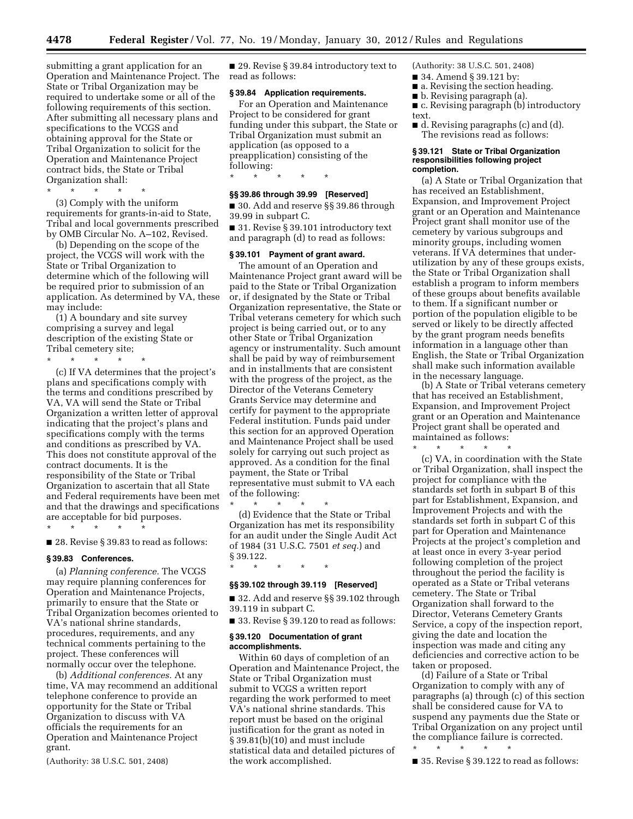submitting a grant application for an Operation and Maintenance Project. The State or Tribal Organization may be required to undertake some or all of the following requirements of this section. After submitting all necessary plans and specifications to the VCGS and obtaining approval for the State or Tribal Organization to solicit for the Operation and Maintenance Project contract bids, the State or Tribal Organization shall:

\* \* \* \* \* (3) Comply with the uniform requirements for grants-in-aid to State, Tribal and local governments prescribed by OMB Circular No. A–102, Revised.

(b) Depending on the scope of the project, the VCGS will work with the State or Tribal Organization to determine which of the following will be required prior to submission of an application. As determined by VA, these may include:

(1) A boundary and site survey comprising a survey and legal description of the existing State or Tribal cemetery site;

\* \* \* \* \* (c) If VA determines that the project's plans and specifications comply with the terms and conditions prescribed by VA, VA will send the State or Tribal Organization a written letter of approval indicating that the project's plans and specifications comply with the terms and conditions as prescribed by VA. This does not constitute approval of the contract documents. It is the responsibility of the State or Tribal Organization to ascertain that all State and Federal requirements have been met and that the drawings and specifications

■ 28. Revise § 39.83 to read as follows:

are acceptable for bid purposes.

#### **§ 39.83 Conferences.**

\* \* \* \* \*

(a) *Planning conference.* The VCGS may require planning conferences for Operation and Maintenance Projects, primarily to ensure that the State or Tribal Organization becomes oriented to VA's national shrine standards, procedures, requirements, and any technical comments pertaining to the project. These conferences will normally occur over the telephone.

(b) *Additional conferences.* At any time, VA may recommend an additional telephone conference to provide an opportunity for the State or Tribal Organization to discuss with VA officials the requirements for an Operation and Maintenance Project grant.

(Authority: 38 U.S.C. 501, 2408)

■ 29. Revise § 39.84 introductory text to read as follows:

### **§ 39.84 Application requirements.**

For an Operation and Maintenance Project to be considered for grant funding under this subpart, the State or Tribal Organization must submit an application (as opposed to a preapplication) consisting of the following:

**§§ 39.86 through 39.99 [Reserved]** 

\* \* \* \* \*

■ 30. Add and reserve §§ 39.86 through 39.99 in subpart C.

■ 31. Revise § 39.101 introductory text and paragraph (d) to read as follows:

## **§ 39.101 Payment of grant award.**

The amount of an Operation and Maintenance Project grant award will be paid to the State or Tribal Organization or, if designated by the State or Tribal Organization representative, the State or Tribal veterans cemetery for which such project is being carried out, or to any other State or Tribal Organization agency or instrumentality. Such amount shall be paid by way of reimbursement and in installments that are consistent with the progress of the project, as the Director of the Veterans Cemetery Grants Service may determine and certify for payment to the appropriate Federal institution. Funds paid under this section for an approved Operation and Maintenance Project shall be used solely for carrying out such project as approved. As a condition for the final payment, the State or Tribal representative must submit to VA each of the following:

\* \* \* \* \* (d) Evidence that the State or Tribal Organization has met its responsibility for an audit under the Single Audit Act of 1984 (31 U.S.C. 7501 *et seq.*) and § 39.122.

\* \* \* \* \*

## **§§ 39.102 through 39.119 [Reserved]**

■ 32. Add and reserve §§ 39.102 through 39.119 in subpart C.

■ 33. Revise § 39.120 to read as follows:

### **§ 39.120 Documentation of grant accomplishments.**

Within 60 days of completion of an Operation and Maintenance Project, the State or Tribal Organization must submit to VCGS a written report regarding the work performed to meet VA's national shrine standards. This report must be based on the original justification for the grant as noted in § 39.81(b)(10) and must include statistical data and detailed pictures of the work accomplished.

(Authority: 38 U.S.C. 501, 2408)

- 34. Amend § 39.121 by:
- a. Revising the section heading.
- b. Revising paragraph (a).
- c. Revising paragraph (b) introductory text.
- d. Revising paragraphs (c) and (d). The revisions read as follows:

#### **§ 39.121 State or Tribal Organization responsibilities following project completion.**

(a) A State or Tribal Organization that has received an Establishment, Expansion, and Improvement Project grant or an Operation and Maintenance Project grant shall monitor use of the cemetery by various subgroups and minority groups, including women veterans. If VA determines that underutilization by any of these groups exists, the State or Tribal Organization shall establish a program to inform members of these groups about benefits available to them. If a significant number or portion of the population eligible to be served or likely to be directly affected by the grant program needs benefits information in a language other than English, the State or Tribal Organization shall make such information available in the necessary language.

(b) A State or Tribal veterans cemetery that has received an Establishment, Expansion, and Improvement Project grant or an Operation and Maintenance Project grant shall be operated and maintained as follows:

\* \* \* \* \*

(c) VA, in coordination with the State or Tribal Organization, shall inspect the project for compliance with the standards set forth in subpart B of this part for Establishment, Expansion, and Improvement Projects and with the standards set forth in subpart C of this part for Operation and Maintenance Projects at the project's completion and at least once in every 3-year period following completion of the project throughout the period the facility is operated as a State or Tribal veterans cemetery. The State or Tribal Organization shall forward to the Director, Veterans Cemetery Grants Service, a copy of the inspection report, giving the date and location the inspection was made and citing any deficiencies and corrective action to be taken or proposed.

(d) Failure of a State or Tribal Organization to comply with any of paragraphs (a) through (c) of this section shall be considered cause for VA to suspend any payments due the State or Tribal Organization on any project until the compliance failure is corrected. \* \* \* \* \*

■ 35. Revise § 39.122 to read as follows: